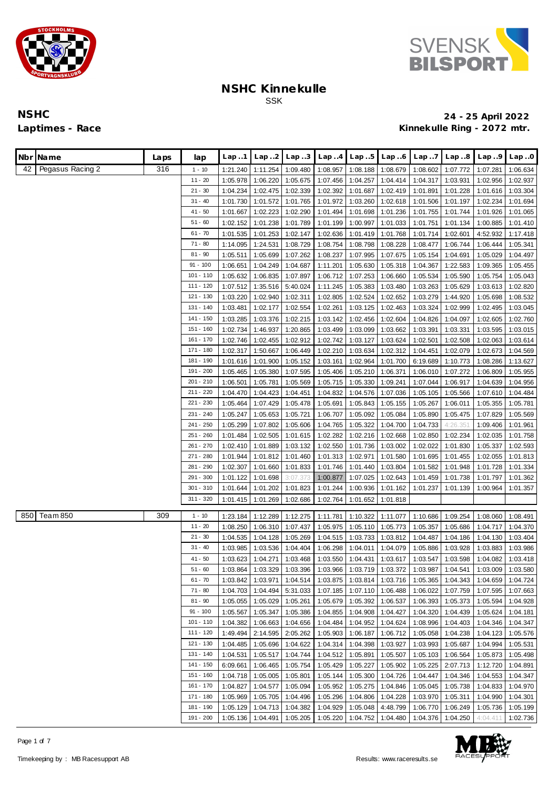



| Nbr Name               | Laps | lap                   | Lap1                 | Lap. .2                       | Lap.3                | Lap.4                | Lap.5                                                   | Lap.6                                     | Lap.7                | Lap.8                                                                                                       | Lap.9                | Lap.0                |
|------------------------|------|-----------------------|----------------------|-------------------------------|----------------------|----------------------|---------------------------------------------------------|-------------------------------------------|----------------------|-------------------------------------------------------------------------------------------------------------|----------------------|----------------------|
| Pegasus Racing 2<br>42 | 316  | $1 - 10$              | 1:21.240             | 1:11.254                      | 1:09.480             | 1:08.957             | 1:08.188                                                | 1:08.679                                  | 1:08.602             | 1:07.772                                                                                                    | 1:07.281             | 1:06.634             |
|                        |      | $11 - 20$             | 1:05.978             | 1:06.220                      | 1:05.675             | 1:07.456             | 1:04.257                                                | 1:04.414                                  | 1:04.317             | 1:03.931                                                                                                    | 1:02.956             | 1:02.937             |
|                        |      | $21 - 30$             | 1:04.234             | 1:02.475                      | 1:02.339             | 1:02.392             | 1:01.687                                                | 1:02.419                                  | 1:01.891             | 1:01.228                                                                                                    | 1:01.616             | 1:03.304             |
|                        |      | $31 - 40$             | 1:01.730             | 1:01.572                      | 1:01.765             | 1:01.972             | 1:03.260                                                | 1:02.618                                  | 1:01.506             | 1:01.197                                                                                                    | 1:02.234             | 1:01.694             |
|                        |      | $41 - 50$             | 1:01.667             | 1:02.223                      | 1:02.290             | 1:01.494             | 1:01.698                                                | 1:01.236                                  | 1:01.755             | 1:01.744                                                                                                    | 1:01.926             | 1:01.065             |
|                        |      | $51 - 60$             | 1:02.152             | 1:01.238                      | 1:01.789             | 1:01.199             | 1:00.997                                                | 1:01.033                                  | 1:01.751             | 1:01.134                                                                                                    | 1:00.885             | 1:01.410             |
|                        |      | $61 - 70$             | 1:01.535             | 1:01.253                      | 1:02.147             | 1:02.636             | 1:01.419                                                | 1:01.768                                  | 1:01.714             | 1:02.601                                                                                                    | 4:52.932             | 1:17.418             |
|                        |      | $71 - 80$             | 1:14.095             | 1:24.531                      | 1:08.729             | 1:08.754             | 1:08.798                                                | 1:08.228                                  | 1:08.477             | 1:06.744                                                                                                    | 1:06.444             | 1:05.341             |
|                        |      | $81 - 90$             | 1:05.511             | 1:05.699                      | 1:07.262             | 1:08.237             | 1:07.995                                                | 1:07.675                                  | 1:05.154             | 1:04.691                                                                                                    | 1:05.029             | 1:04.497             |
|                        |      | $91 - 100$            | 1:06.651             | 1:04.249                      | 1:04.687             | 1:11.201             | 1:05.630                                                | 1:05.318                                  | 1:04.367             | 1:22.583                                                                                                    | 1:09.365             | 1:05.455             |
|                        |      | $101 - 110$           | 1:05.632             | 1:06.835                      | 1:07.897             | 1:06.712             | 1:07.253                                                | 1:06.660                                  | 1:05.534             | 1:05.590                                                                                                    | 1:05.754             | 1:05.043             |
|                        |      | 111 - 120             | 1:07.512             | 1:35.516                      | 5:40.024             | 1:11.245             | 1:05.383                                                | 1:03.480                                  | 1:03.263             | 1:05.629                                                                                                    | 1:03.613             | 1:02.820             |
|                        |      | 121 - 130             | 1:03.220             | 1:02.940                      | 1:02.311             | 1:02.805             | 1:02.524                                                | 1:02.652                                  | 1:03.279             | 1:44.920                                                                                                    | 1:05.698             | 1:08.532             |
|                        |      | 131 - 140             | 1:03.481             | 1:02.177                      | 1:02.554             | 1:02.261             | 1:03.125                                                | 1:02.463                                  | 1:03.324             | 1:02.999                                                                                                    | 1:02.495             | 1:03.045             |
|                        |      | 141 - 150             | 1:03.285             | 1:03.376                      | 1:02.215             | 1:03.142             | 1:02.456                                                | 1:02.604                                  | 1:04.826             | 1:04.097                                                                                                    | 1:02.605             | 1:02.760             |
|                        |      | 151 - 160             | 1:02.734             | 1:46.937                      | 1:20.865             | 1:03.499             | 1:03.099                                                | 1:03.662                                  | 1:03.391             | 1:03.331                                                                                                    | 1:03.595             | 1:03.015             |
|                        |      | 161 - 170             | 1:02.746             | 1:02.455                      | 1:02.912             | 1:02.742             | 1:03.127                                                | 1:03.624                                  | 1:02.501             | 1:02.508                                                                                                    | 1:02.063             | 1:03.614             |
|                        |      | 171 - 180             | 1:02.317             | 1:50.667                      | 1:06.449             | 1:02.210             | 1:03.634                                                | 1:02.312                                  | 1:04.451             | 1:02.079                                                                                                    | 1:02.673             | 1:04.569             |
|                        |      | 181 - 190             | 1:01.616             | 1:01.900                      | 1:05.152             | 1:03.161             | 1:02.964                                                | 1:01.700                                  | 6:19.689             | 1:10.773                                                                                                    | 1:08.286             | 1:13.627             |
|                        |      | 191 - 200             | 1:05.465             | 1:05.380                      | 1:07.595             | 1:05.406             | 1:05.210                                                | 1:06.371                                  | 1:06.010             | 1:07.272                                                                                                    | 1:06.809             | 1:05.955             |
|                        |      | 201 - 210             | 1:06.501             | 1:05.781                      | 1:05.569             | 1:05.715             | 1:05.330                                                | 1:09.241                                  | 1:07.044             | 1:06.917                                                                                                    | 1:04.639             | 1:04.956             |
|                        |      | 211 - 220             | 1:04.470             | 1:04.423                      | 1:04.451             | 1:04.832             | 1:04.576                                                | 1:07.036                                  | 1:05.105             | 1:05.566                                                                                                    | 1:07.610             | 1:04.484             |
|                        |      | 221 - 230             | 1:05.464             | 1:07.429                      | 1:05.478             | 1:05.691             | 1:05.843                                                | 1:05.155                                  | 1:05.267             | 1:06.011                                                                                                    | 1:05.355             | 1:05.781             |
|                        |      | 231 - 240             | 1:05.247             | 1:05.653                      | 1:05.721             | 1:06.707             | 1:05.092                                                | 1:05.084                                  | 1:05.890             | 1:05.475                                                                                                    | 1:07.829             | 1:05.569             |
|                        |      | 241 - 250             | 1:05.299             | 1:07.802                      | 1:05.606             | 1:04.765             | 1:05.322                                                | 1:04.700                                  | 1:04.733             | 4:26.351                                                                                                    | 1:09.406             | 1:01.961             |
|                        |      | 251 - 260             | 1:01.484             | 1:02.505                      | 1:01.615             | 1:02.282             | 1:02.216                                                | 1:02.668                                  | 1:02.850             | 1:02.234                                                                                                    | 1:02.035             | 1:01.758             |
|                        |      | 261 - 270             | 1:02.410             | 1:01.889                      | 1:03.132             | 1:02.550             | 1:01.736                                                | 1:03.002                                  | 1:02.022             | 1:01.830                                                                                                    | 1:05.337             | 1:02.593             |
|                        |      | 271 - 280             | 1:01.944             | 1:01.812                      | 1:01.460             | 1:01.313             | 1:02.971                                                | 1:01.580                                  | 1:01.695             | 1:01.455                                                                                                    | 1:02.055             | 1:01.813             |
|                        |      | 281 - 290             | 1:02.307             | 1:01.660                      | 1:01.833             | 1:01.746             | 1:01.440                                                | 1:03.804                                  | 1:01.582             | 1:01.948                                                                                                    | 1:01.728             | 1:01.334             |
|                        |      | 291 - 300             | 1:01.122             | 1:01.698                      | 3:07.373             | 1:00.877             | 1:07.025                                                | 1:02.643                                  | 1:01.459             | 1:01.738                                                                                                    | 1:01.797             | 1:01.362             |
|                        |      | $301 - 310$           | 1:01.644             | 1:01.202                      | 1:01.823             | 1:01.244             | 1:00.936                                                | 1:01.162                                  | 1:01.237             | 1:01.139                                                                                                    | 1:00.964             | 1:01.357             |
|                        |      | 311 - 320             | 1:01.415             | 1:01.269                      | 1:02.686             | 1:02.764             | 1:01.652                                                | 1:01.818                                  |                      |                                                                                                             |                      |                      |
| Team 850<br>850        | 309  |                       |                      |                               |                      |                      |                                                         |                                           |                      |                                                                                                             |                      |                      |
|                        |      | $1 - 10$<br>$11 - 20$ | 1:23.184             | 1:12.289                      | 1:12.275             | 1:11.781             | 1:10.322                                                | 1:11.077                                  | 1:10.686             | 1:09.254                                                                                                    | 1:08.060             | 1:08.491             |
|                        |      | $21 - 30$             | 1:08.250             | 1:06.310                      | 1:07.437             | 1:05.975             | 1:05.110                                                | 1:05.773                                  | 1:05.357             | 1:05.686                                                                                                    | 1:04.717             | 1:04.370             |
|                        |      | $31 - 40$             | 1:04.535<br>1:03.985 | 1:04.128<br>1:03.536          | 1:05.269<br>1:04.404 | 1:04.515<br>1:06.298 | 1:03.733<br>1:04.011                                    | 1:03.812<br>1:04.079                      | 1:04.487<br>1:05.886 | 1:04.186<br>1:03.928                                                                                        | 1:04.130<br>1:03.883 | 1:03.404<br>1:03.986 |
|                        |      | $41 - 50$             |                      |                               |                      |                      |                                                         |                                           |                      |                                                                                                             |                      |                      |
|                        |      | 51 - 60               | 1:03.623             | 1:04.271                      | 1:03.468             | 1:03.550             | 1:04.431                                                | 1:03.617                                  | 1:03.547             | 1:03.598                                                                                                    | 1:04.082             | 1:03.418             |
|                        |      | $61 - 70$             |                      |                               |                      |                      |                                                         |                                           | 1:05.365             | 1:03.864   1:03.329   1:03.396   1:03.966   1:03.719   1:03.372   1:03.987   1:04.541   1:03.009   1:03.580 |                      |                      |
|                        |      | $71 - 80$             | 1:03.842             | 1:03.971<br>1:04.703 1:04.494 | 1:04.514<br>5:31.033 |                      | 1:03.875   1:03.814  <br>1:07.185   1:07.110   1:06.488 | 1:03.716                                  | 1:06.022             | 1:04.343<br>1:07.759                                                                                        | 1:04.659<br>1:07.595 | 1:04.724<br>1:07.663 |
|                        |      | $81 - 90$             | 1:05.055             | 1:05.029                      | 1:05.261             |                      | 1:05.679 1:05.392 1:06.537                              |                                           | 1:06.393             | 1:05.373                                                                                                    | 1:05.594             | 1:04.928             |
|                        |      | $91 - 100$            | 1:05.567             | 1:05.347                      | 1:05.386             |                      | 1:04.855 1:04.908 1:04.427                              |                                           | 1:04.320             | 1:04.439                                                                                                    | 1:05.624             | 1:04.181             |
|                        |      | $101 - 110$           | 1:04.382             | 1:06.663                      | 1:04.656             | 1:04.484             | 1:04.952                                                | 1:04.624                                  | 1:08.996             | 1:04.403                                                                                                    | 1:04.346             | 1:04.347             |
|                        |      | 111 - 120             | 1:49.494             | 2:14.595                      | 2:05.262             | 1:05.903             | 1:06.187                                                | 1:06.712                                  | 1:05.058             | 1:04.238                                                                                                    | 1:04.123             | 1:05.576             |
|                        |      | 121 - 130             | 1:04.485             | 1:05.696                      | 1:04.622             |                      | 1:04.314 1:04.398                                       | 1:03.927                                  | 1:03.993             | 1:05.687                                                                                                    | 1:04.994             | 1:05.531             |
|                        |      | 131 - 140             | 1:04.531             | 1:05.517                      | 1:04.744             |                      | 1:04.512 1:05.891                                       | 1:05.507                                  | 1:05.103             | 1:06.564                                                                                                    | 1:05.873             | 1:05.498             |
|                        |      | 141 - 150             | 6:09.661             | 1:06.465                      | 1:05.754             |                      | 1:05.429 1:05.227                                       | 1:05.902                                  | 1:05.225             | 2:07.713                                                                                                    | 1:12.720             | 1:04.891             |
|                        |      | $151 - 160$           | 1:04.718             | 1:05.005                      | 1:05.801             |                      | 1:05.144 1:05.300                                       | 1:04.726                                  | 1:04.447             | 1:04.346                                                                                                    | 1:04.553             | 1:04.347             |
|                        |      | 161 - 170             | 1:04.827             | 1:04.577                      | 1:05.094             |                      | 1:05.952 1:05.275 1:04.846                              |                                           | 1:05.045             | 1:05.738                                                                                                    | 1:04.833             | 1:04.970             |
|                        |      | 171 - 180             | 1:05.969             | 1:05.705                      | 1:04.496             |                      | 1:05.296 1:04.806 1:04.228                              |                                           |                      | 1:03.970 1:05.311                                                                                           | 1:04.990             | 1:04.301             |
|                        |      | 181 - 190             | 1:05.129             | 1:04.713                      | 1:04.382             |                      | 1:04.929   1:05.048                                     | 4:48.799                                  |                      | 1:06.770 1:06.249                                                                                           | 1:05.736             | 1:05.199             |
|                        |      | 191 - 200             |                      | 1:05.136 1:04.491             |                      |                      |                                                         | 1:05.205   1:05.220   1:04.752   1:04.480 |                      | 1:04.376 1:04.250                                                                                           | 4:04.411             | 1:02.736             |

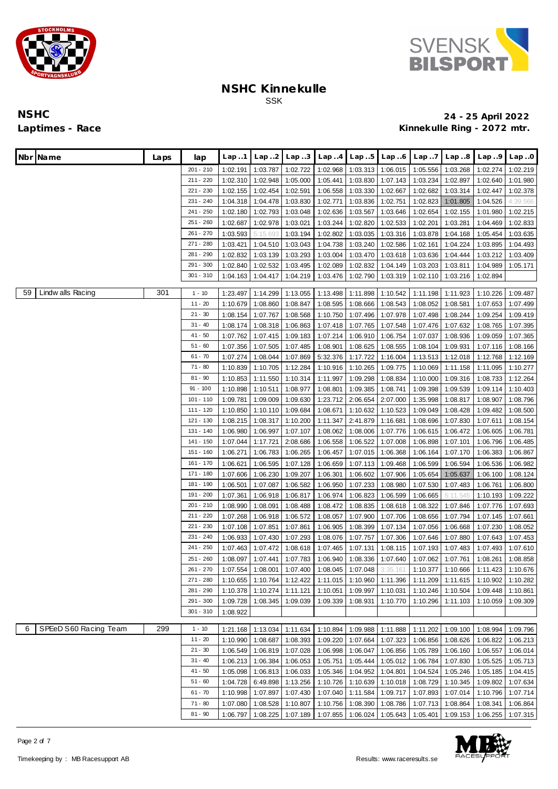



| Nbr Name                   | Laps | lap         | Lap1                 | Lap.2                      | Lap.3                | Lap.4                | Lap.5                          | Lap 6                      | Lap7                 | Lap.8                                     | Lap.9                | Lap.0                |
|----------------------------|------|-------------|----------------------|----------------------------|----------------------|----------------------|--------------------------------|----------------------------|----------------------|-------------------------------------------|----------------------|----------------------|
|                            |      | 201 - 210   | 1:02.191             | 1:03.787                   | 1:02.722             | 1:02.968             | 1:03.313                       | 1:06.015                   | 1:05.556             | 1:03.268                                  | 1:02.274             | 1:02.219             |
|                            |      | 211 - 220   | 1:02.310             | 1:02.948                   | 1:05.000             | 1:05.441             | 1:03.830                       | 1:07.143                   | 1:03.234             | 1:02.897                                  | 1:02.640             | 1:01.980             |
|                            |      | 221 - 230   | 1:02.155             | 1:02.454                   | 1:02.591             | 1:06.558             | 1:03.330                       | 1:02.667                   | 1:02.682             | 1:03.314                                  | 1:02.447             | 1:02.378             |
|                            |      | 231 - 240   | 1:04.318             | 1:04.478                   | 1:03.830             | 1:02.771             | 1:03.836                       | 1:02.751                   | 1:02.823             | 1:01.805                                  | 1:04.526             | 4:39.566             |
|                            |      | 241 - 250   | 1:02.180             | 1:02.793                   | 1:03.048             | 1:02.636             | 1:03.567                       | 1:03.646                   | 1:02.654             | 1:02.155                                  | 1:01.980             | 1:02.215             |
|                            |      | 251 - 260   | 1:02.687             | 1:02.978                   | 1:03.021             | 1:03.244             | 1:02.820                       | 1:02.533                   | 1:02.201             | 1:03.281                                  | 1:04.469             | 1:02.833             |
|                            |      | 261 - 270   | 1:03.593             | 5:15.693                   | 1:03.194             | 1:02.802             | 1:03.035                       | 1:03.316                   | 1:03.878             | 1:04.168                                  | 1:05.454             | 1:03.635             |
|                            |      | 271 - 280   | 1:03.421             | 1:04.510                   | 1:03.043             | 1:04.738             | 1:03.240                       | 1:02.586                   | 1:02.161             | 1:04.224                                  | 1:03.895             | 1:04.493             |
|                            |      | 281 - 290   | 1:02.832             | 1:03.139                   | 1:03.293             | 1:03.004             | 1:03.470                       | 1:03.618                   | 1:03.636             | 1:04.444                                  | 1:03.212             | 1:03.409             |
|                            |      | 291 - 300   | 1:02.840             | 1:02.532                   | 1:03.495             | 1:02.089             | 1:02.832                       | 1:04.149                   | 1:03.203             | 1:03.811                                  | 1:04.989             | 1:05.171             |
|                            |      | $301 - 310$ | 1:04.163             | 1:04.417                   | 1:04.219             | 1:03.476             | 1:02.790                       | 1:03.319                   | 1:02.110             | 1:03.216                                  | 1:02.894             |                      |
| Lindw alls Racing<br>59    | 301  | $1 - 10$    |                      |                            |                      |                      |                                |                            |                      |                                           |                      |                      |
|                            |      | $11 - 20$   | 1:23.497             | 1:14.299                   | 1:13.055             | 1:13.498             | 1:11.898                       | 1:10.542                   | 1:11.198             | 1:11.923                                  | 1:10.226             | 1:09.487             |
|                            |      | $21 - 30$   | 1:10.679             | 1:08.860                   | 1:08.847             | 1:08.595             | 1:08.666                       | 1:08.543                   | 1:08.052             | 1:08.581                                  | 1:07.653             | 1:07.499             |
|                            |      | $31 - 40$   | 1:08.154<br>1:08.174 | 1:07.767<br>1:08.318       | 1:08.568<br>1:06.863 | 1:10.750             | 1:07.496<br>1:07.765           | 1:07.978                   | 1:07.498             | 1:08.244<br>1:07.632                      | 1:09.254<br>1:08.765 | 1:09.419<br>1:07.395 |
|                            |      | $41 - 50$   | 1:07.762             |                            |                      | 1:07.418             |                                | 1:07.548                   | 1:07.476             |                                           |                      |                      |
|                            |      | $51 - 60$   | 1:07.356             | 1:07.415<br>1:07.505       | 1:09.183<br>1:07.485 | 1:07.214<br>1:08.901 | 1:06.910<br>1:08.625           | 1:06.754<br>1:08.555       | 1:07.037<br>1:08.104 | 1:08.936<br>1:09.931                      | 1:09.059<br>1:07.116 | 1:07.365<br>1:08.166 |
|                            |      | $61 - 70$   | 1:07.274             | 1:08.044                   | 1:07.869             | 5:32.376             | 1:17.722                       | 1:16.004                   | 1:13.513             | 1:12.018                                  | 1:12.768             | 1:12.169             |
|                            |      | 71 - 80     | 1:10.839             | 1:10.705                   | 1:12.284             | 1:10.916             | 1:10.265                       | 1:09.775                   | 1:10.069             | 1:11.158                                  | 1:11.095             | 1:10.277             |
|                            |      | $81 - 90$   |                      |                            | 1:10.314             |                      |                                |                            |                      |                                           | 1:08.733             |                      |
|                            |      | $91 - 100$  | 1:10.853             | 1:11.550                   |                      | 1:11.997             | 1:09.298                       | 1:08.834                   | 1:10.000             | 1:09.316                                  |                      | 1:12.264             |
|                            |      | $101 - 110$ | 1:10.898             | 1:10.511                   | 1:08.977             | 1:08.801             | 1:09.385                       | 1:08.741                   | 1:09.398             | 1:09.539                                  | 1:09.114             | 1:10.403             |
|                            |      | 111 - 120   | 1:09.781<br>1:10.850 | 1:09.009<br>1:10.110       | 1:09.630             | 1:23.712<br>1:08.671 | 2:06.654                       | 2:07.000                   | 1:35.998             | 1:08.817                                  | 1:08.907<br>1:09.482 | 1:08.796             |
|                            |      | 121 - 130   | 1:08.215             |                            | 1:09.684             |                      | 1:10.632                       | 1:10.523                   | 1:09.049             | 1:08.428<br>1:07.830                      | 1:07.611             | 1:08.500<br>1:08.154 |
|                            |      | 131 - 140   | 1:06.980             | 1:08.317                   | 1:10.200<br>1:07.107 | 1:11.347             | 2:41.879                       | 1:16.681                   | 1:08.696             |                                           |                      | 1:06.781             |
|                            |      | 141 - 150   | 1:07.044             | 1:06.997<br>1:17.721       | 2:08.686             | 1:08.062<br>1:06.558 | 1:08.006<br>1:06.522           | 1:07.776<br>1:07.008       | 1:06.615<br>1:06.898 | 1:06.472<br>1:07.101                      | 1:06.605<br>1:06.796 | 1:06.485             |
|                            |      | 151 - 160   | 1:06.271             | 1:06.783                   | 1:06.265             | 1:06.457             | 1:07.015                       | 1:06.368                   | 1:06.164             | 1:07.170                                  | 1:06.383             | 1:06.867             |
|                            |      | 161 - 170   | 1:06.621             | 1:06.595                   | 1:07.128             | 1:06.659             | 1:07.113                       |                            | 1:06.599             | 1:06.594                                  |                      | 1:06.982             |
|                            |      | 171 - 180   | 1:07.606             | 1:06.230                   | 1:09.207             | 1:06.301             | 1:06.602                       | 1:09.468<br>1:07.906       | 1:05.654             |                                           | 1:06.536<br>1:06.100 | 1:08.124             |
|                            |      | 181 - 190   | 1:06.501             | 1:07.087                   | 1:06.582             | 1:06.950             | 1:07.233                       | 1:08.980                   | 1:07.530             | 1:05.637<br>1:07.483                      | 1:06.761             | 1:06.800             |
|                            |      | 191 - 200   | 1:07.361             | 1:06.918                   | 1:06.817             | 1:06.974             | 1:06.823                       | 1:06.599                   | 1:06.665             | 5:11.545                                  | 1:10.193             | 1:09.222             |
|                            |      | 201 - 210   | 1:08.990             | 1:08.091                   | 1:08.488             | 1:08.472             | 1:08.835                       | 1:08.618                   | 1:08.322             | 1:07.846                                  | 1:07.776             | 1:07.693             |
|                            |      | 211 - 220   | 1:07.268             | 1:06.918                   | 1:06.572             | 1:08.057             | 1:07.900                       | 1:07.706                   | 1:08.656             | 1:07.794                                  | 1:07.145             | 1:07.661             |
|                            |      | 221 - 230   | 1:07.108             | 1:07.851                   | 1:07.861             | 1:06.905             | 1:08.399                       | 1:07.134                   | 1:07.056             | 1:06.668                                  | 1:07.230             | 1:08.052             |
|                            |      | 231 - 240   | 1:06.933             | 1:07.430                   | 1:07.293             | 1:08.076             | 1:07.757                       | 1:07.306                   | 1:07.646             | 1:07.880                                  | 1:07.643             | 1:07.453             |
|                            |      | 241 - 250   | 1:07.463             | 1:07.472                   | 1:08.618             | 1:07.465             | 1:07.131                       | 1:08.115                   | 1:07.193             | 1:07.483                                  | 1:07.493             | 1:07.610             |
|                            |      | 251 - 260   | 1:08.097             | 1:07.441                   | 1:07.783             | 1:06.940             | 1:08.336                       | 1:07.640                   | 1:07.062             | 1:07.761                                  | 1:08.261             | 1:08.858             |
|                            |      | 261 - 270   |                      | 1:07.554 1:08.001 1:07.400 |                      |                      | 1:08.045 1:07.048              | 3:35.161                   |                      | 1:10.377   1:10.666   1:11.423   1:10.676 |                      |                      |
|                            |      | 271 - 280   |                      | 1:10.655 1:10.764          | 1:12.422             |                      | 1:11.015   1:10.960   1:11.396 |                            |                      | 1:11.209 1:11.615                         | 1:10.902             | 1:10.282             |
|                            |      | 281 - 290   | 1:10.378             | 1:10.274                   | 1:11.121             |                      | 1:10.051 1:09.997              | 1:10.031                   |                      | 1:10.246 1:10.504                         | 1:09.448             | 1:10.861             |
|                            |      | 291 - 300   | 1:09.728             | 1:08.345                   | 1:09.039             |                      | 1:09.339 1:08.931              | 1:10.770                   |                      | 1:10.296 1:11.103                         | 1:10.059             | 1:09.309             |
|                            |      | 301 - 310   | 1:08.922             |                            |                      |                      |                                |                            |                      |                                           |                      |                      |
|                            |      |             |                      |                            |                      |                      |                                |                            |                      |                                           |                      |                      |
| SPEeD S60 Racing Team<br>6 | 299  | $1 - 10$    | 1:21.168             | 1:13.034                   | 1:11.634             | 1:10.894             | 1:09.988                       | 1:11.888                   | 1:11.202             | 1:09.100                                  | 1:08.994             | 1:09.796             |
|                            |      | $11 - 20$   | 1:10.990             | 1:08.687                   | 1:08.393             |                      | 1:09.220 1:07.664 1:07.323     |                            | 1:06.856             | 1:08.626                                  | 1:06.822             | 1:06.213             |
|                            |      | $21 - 30$   | 1:06.549             | 1:06.819                   | 1:07.028             | 1:06.998             | 1:06.047                       | 1:06.856                   | 1:05.789             | 1:06.160                                  | 1:06.557             | 1:06.014             |
|                            |      | $31 - 40$   |                      | 1:06.213 1:06.384          | 1:06.053             | 1:05.751             | 1:05.444                       | 1:05.012                   | 1:06.784             | 1:07.830                                  | 1:05.525             | 1:05.713             |
|                            |      | $41 - 50$   |                      | 1:05.098 1:06.813          | 1:06.033             |                      | 1:05.346 1:04.952              | 1:04.801                   | 1:04.524             | 1:05.246                                  | 1:05.185             | 1:04.415             |
|                            |      | $51 - 60$   | 1:04.728             | 6:49.898                   | 1:13.256             | 1:10.726             | 1:10.639                       | 1:10.018                   | 1:08.729             | 1:10.345                                  | 1:09.802             | 1:07.634             |
|                            |      | $61 - 70$   | 1:10.998             | 1:07.897                   | 1:07.430             |                      | 1:07.040 1:11.584              | 1:09.717                   | 1:07.893             | 1:07.014                                  | 1:10.796             | 1:07.714             |
|                            |      | 71 - 80     | 1:07.080             | 1:08.528                   | 1:10.807             |                      | 1:10.756 1:08.390              | 1:08.786                   | 1:07.713             | 1:08.864                                  | 1:08.341             | 1:06.864             |
|                            |      | $81 - 90$   | 1:06.797             | 1:08.225                   | 1:07.189             |                      |                                | 1:07.855 1:06.024 1:05.643 | 1:05.401             | 1:09.153                                  | 1:06.255             | 1:07.315             |

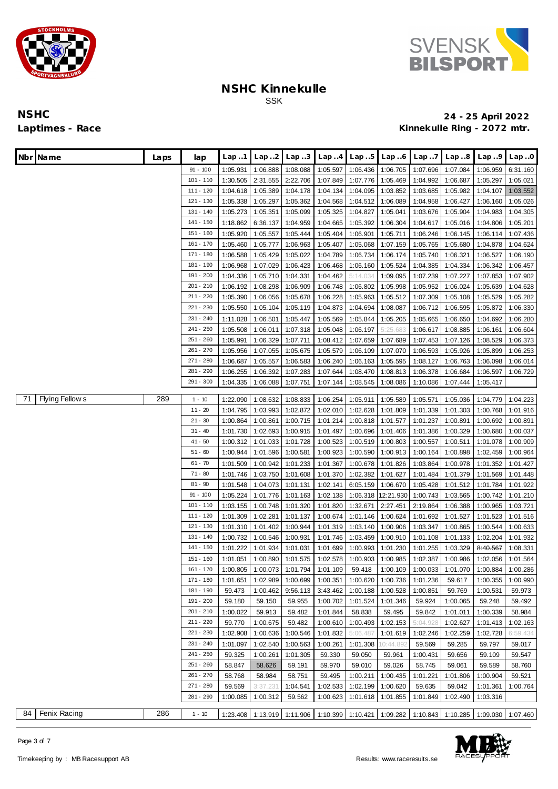



| Nbr Name              | Laps | lap         | Lap.1    | Lap. .2  | Lap.3                                     | Lap4     | Lap.5    | Lap.6                                                                                     | Lap.7    | Lap.8                                     | Lap.9    | Lap.0    |
|-----------------------|------|-------------|----------|----------|-------------------------------------------|----------|----------|-------------------------------------------------------------------------------------------|----------|-------------------------------------------|----------|----------|
|                       |      | $91 - 100$  | 1:05.931 | 1:06.888 | 1:08.088                                  | 1:05.597 | 1:06.436 | 1:06.705                                                                                  | 1:07.696 | 1:07.084                                  | 1:06.959 | 6:31.160 |
|                       |      | $101 - 110$ | 1:30.505 | 2:31.555 | 2:22.706                                  | 1:07.849 | 1:07.776 | 1:05.469                                                                                  | 1:04.992 | 1:06.687                                  | 1:05.297 | 1:05.021 |
|                       |      | 111 - 120   | 1:04.618 | 1:05.389 | 1:04.178                                  | 1:04.134 | 1:04.095 | 1:03.852                                                                                  | 1:03.685 | 1:05.982                                  | 1:04.107 | 1:03.552 |
|                       |      | 121 - 130   | 1:05.338 | 1:05.297 | 1:05.362                                  | 1:04.568 | 1:04.512 | 1:06.089                                                                                  | 1:04.958 | 1:06.427                                  | 1:06.160 | 1:05.026 |
|                       |      | 131 - 140   | 1:05.273 | 1:05.351 | 1:05.099                                  | 1:05.325 | 1:04.827 | 1:05.041                                                                                  | 1:03.676 | 1:05.904                                  | 1:04.983 | 1:04.305 |
|                       |      | 141 - 150   | 1:18.862 | 6:36.137 | 1:04.959                                  | 1:04.665 | 1:05.392 | 1:06.304                                                                                  | 1:04.617 | 1:05.016                                  | 1:04.806 | 1:05.201 |
|                       |      | 151 - 160   | 1:05.920 | 1:05.557 | 1:05.444                                  | 1:05.404 | 1:06.901 | 1:05.711                                                                                  | 1:06.246 | 1:06.145                                  | 1:06.114 | 1:07.436 |
|                       |      | 161 - 170   | 1:05.460 | 1:05.777 | 1:06.963                                  | 1:05.407 | 1:05.068 | 1:07.159                                                                                  | 1:05.765 | 1:05.680                                  | 1:04.878 | 1:04.624 |
|                       |      | $171 - 180$ | 1:06.588 | 1:05.429 | 1:05.022                                  | 1:04.789 | 1:06.734 | 1:06.174                                                                                  | 1:05.740 | 1:06.321                                  | 1:06.527 | 1:06.190 |
|                       |      | 181 - 190   | 1:06.968 | 1:07.029 | 1:06.423                                  | 1:06.468 | 1:06.160 | 1:05.524                                                                                  | 1:04.385 | 1:04.334                                  | 1:06.342 | 1:06.457 |
|                       |      | 191 - 200   | 1:04.336 | 1:05.710 | 1:04.331                                  | 1:04.462 | 5:14.034 | 1:09.095                                                                                  | 1:07.239 | 1:07.227                                  | 1:07.853 | 1:07.902 |
|                       |      | 201 - 210   | 1:06.192 | 1:08.298 | 1:06.909                                  | 1:06.748 | 1:06.802 | 1:05.998                                                                                  | 1:05.952 | 1:06.024                                  | 1:05.639 | 1:04.628 |
|                       |      | 211 - 220   | 1:05.390 | 1:06.056 | 1:05.678                                  | 1:06.228 | 1:05.963 | 1:05.512                                                                                  | 1:07.309 | 1:05.108                                  | 1:05.529 | 1:05.282 |
|                       |      | 221 - 230   | 1:05.550 | 1:05.104 | 1:05.119                                  | 1:04.873 | 1:04.694 | 1:08.087                                                                                  | 1:06.712 | 1:06.595                                  | 1:05.872 | 1:06.330 |
|                       |      | 231 - 240   | 1:11.028 | 1:06.501 | 1:05.447                                  | 1:05.569 | 1:05.844 | 1:05.205                                                                                  | 1:05.665 | 1:06.650                                  | 1:04.692 | 1:06.280 |
|                       |      | 241 - 250   | 1:05.508 | 1:06.011 | 1:07.318                                  | 1:05.048 | 1:06.197 | 5:25.683                                                                                  | 1:06.617 | 1:08.885                                  | 1:06.161 | 1:06.604 |
|                       |      | 251 - 260   | 1:05.991 | 1:06.329 | 1:07.711                                  | 1:08.412 | 1:07.659 | 1:07.689                                                                                  | 1:07.453 | 1:07.126                                  | 1:08.529 | 1:06.373 |
|                       |      | 261 - 270   | 1:05.956 | 1:07.055 | 1:05.675                                  | 1:05.579 | 1:06.109 | 1:07.070                                                                                  | 1:06.593 | 1:05.926                                  | 1:05.899 | 1:06.253 |
|                       |      | 271 - 280   | 1:06.687 | 1:05.557 | 1:06.583                                  | 1:06.240 | 1:06.163 | 1:05.595                                                                                  | 1:08.127 | 1:06.763                                  | 1:06.098 | 1:06.014 |
|                       |      | 281 - 290   | 1:06.255 | 1:06.392 | 1:07.283                                  | 1:07.644 | 1:08.470 | 1:08.813                                                                                  | 1:06.378 | 1:06.684                                  | 1:06.597 | 1:06.729 |
|                       |      | 291 - 300   | 1:04.335 | 1:06.088 | 1:07.751                                  | 1:07.144 | 1:08.545 | 1:08.086                                                                                  | 1:10.086 | 1:07.444                                  | 1:05.417 |          |
|                       |      |             |          |          |                                           |          |          |                                                                                           |          |                                           |          |          |
| Flying Fellow s<br>71 | 289  | $1 - 10$    | 1:22.090 | 1:08.632 | 1:08.833                                  | 1:06.254 | 1:05.911 | 1:05.589                                                                                  | 1:05.571 | 1:05.036                                  | 1:04.779 | 1:04.223 |
|                       |      | $11 - 20$   | 1:04.795 | 1:03.993 | 1:02.872                                  | 1:02.010 | 1:02.628 | 1:01.809                                                                                  | 1:01.339 | 1:01.303                                  | 1:00.768 | 1:01.916 |
|                       |      | $21 - 30$   | 1:00.864 | 1:00.861 | 1:00.715                                  | 1:01.214 | 1:00.818 | 1:01.577                                                                                  | 1:01.237 | 1:00.891                                  | 1:00.692 | 1:00.891 |
|                       |      | $31 - 40$   | 1:01.730 | 1:02.693 | 1:00.915                                  | 1:01.497 | 1:00.696 | 1:01.406                                                                                  | 1:01.386 | 1:00.329                                  | 1:00.680 | 1:00.037 |
|                       |      | $41 - 50$   | 1:00.312 | 1:01.033 | 1:01.728                                  | 1:00.523 | 1:00.519 | 1:00.803                                                                                  | 1:00.557 | 1:00.511                                  | 1:01.078 | 1:00.909 |
|                       |      | $51 - 60$   | 1:00.944 | 1:01.596 | 1:00.581                                  | 1:00.923 | 1:00.590 | 1:00.913                                                                                  | 1:00.164 | 1:00.898                                  | 1:02.459 | 1:00.964 |
|                       |      | $61 - 70$   | 1:01.509 | 1:00.942 | 1:01.233                                  | 1:01.367 | 1:00.678 | 1:01.826                                                                                  | 1:03.864 | 1:00.978                                  | 1:01.352 | 1:01.427 |
|                       |      | $71 - 80$   | 1:01.746 | 1:03.750 | 1:01.608                                  | 1:01.370 | 1:02.382 | 1:01.627                                                                                  | 1:01.484 | 1:01.379                                  | 1:01.569 | 1:01.448 |
|                       |      | $81 - 90$   | 1:01.548 | 1:04.073 | 1:01.131                                  | 1:02.141 | 6:05.159 | 1:06.670                                                                                  | 1:05.428 | 1:01.512                                  | 1:01.784 | 1:01.922 |
|                       |      | $91 - 100$  | 1:05.224 | 1:01.776 | 1:01.163                                  | 1:02.138 | 1:06.318 | 12:21.930                                                                                 | 1:00.743 | 1:03.565                                  | 1:00.742 | 1:01.210 |
|                       |      | $101 - 110$ | 1:03.155 | 1:00.748 | 1:01.320                                  | 1:01.820 | 1:32.671 | 2:27.451                                                                                  | 2:19.864 | 1:06.388                                  | 1:00.965 | 1:03.721 |
|                       |      | 111 - 120   | 1:01.309 | 1:02.281 | 1:01.137                                  | 1:00.674 | 1:01.146 | 1:00.624                                                                                  | 1:01.692 | 1:01.527                                  | 1:01.523 | 1:01.516 |
|                       |      | 121 - 130   | 1:01.310 | 1:01.402 | 1:00.944                                  | 1:01.319 | 1:03.140 | 1:00.906                                                                                  | 1:03.347 | 1:00.865                                  | 1:00.544 | 1:00.633 |
|                       |      | 131 - 140   | 1:00.732 | 1:00.546 | 1:00.931                                  | 1:01.746 | 1:03.459 | 1:00.910                                                                                  | 1:01.108 | 1:01.133                                  | 1:02.204 | 1:01.932 |
|                       |      | 141 - 150   | 1:01.222 | 1:01.934 | 1:01.031                                  | 1:01.699 | 1:00.993 | 1:01.230                                                                                  | 1:01.255 | 1:03.329                                  | 8:40.567 | 1:08.331 |
|                       |      | 151 - 160   | 1:01.051 | 1:00.890 | 1:01.575                                  | 1:02.578 | 1:00.903 | 1:00.985                                                                                  | 1:02.387 | 1:00.986                                  | 1:02.056 | 1:01.564 |
|                       |      | 161 - 170   |          |          | 1:00.805   1:00.073   1:01.794   1:01.109 |          | 59.418   |                                                                                           |          | 1:00.109   1:00.033   1:01.070   1:00.884 |          | 1:00.286 |
|                       |      | 171 - 180   | 1:01.651 | 1:02.989 | 1:00.699                                  | 1:00.351 | 1:00.620 | 1:00.736                                                                                  | 1:01.236 | 59.617                                    | 1:00.355 | 1:00.990 |
|                       |      | 181 - 190   | 59.473   | 1:00.462 | 9:56.113                                  | 3:43.462 | 1:00.188 | 1:00.528                                                                                  | 1:00.851 | 59.769                                    | 1:00.531 | 59.973   |
|                       |      | 191 - 200   | 59.180   | 59.150   | 59.955                                    | 1:00.702 | 1:01.524 | 1:01.346                                                                                  | 59.924   | 1:00.065                                  | 59.248   | 59.492   |
|                       |      | 201 - 210   | 1:00.022 | 59.913   | 59.482                                    | 1:01.844 | 58.838   | 59.495                                                                                    | 59.842   | 1:01.011                                  | 1:00.339 | 58.984   |
|                       |      | 211 - 220   | 59.770   | 1:00.675 | 59.482                                    | 1:00.610 | 1:00.493 | 1:02.153                                                                                  | 5:04.928 | 1:02.627                                  | 1:01.413 | 1:02.163 |
|                       |      | 221 - 230   | 1:02.908 | 1:00.636 | 1:00.546                                  | 1:01.832 | 5:06.487 | 1:01.619                                                                                  | 1:02.246 | 1:02.259                                  | 1:02.728 | 6:59.434 |
|                       |      | 231 - 240   | 1:01.097 | 1:02.540 | 1:00.563                                  | 1:00.261 | 1:01.308 | 0:44.892                                                                                  | 59.569   | 59.285                                    | 59.797   | 59.017   |
|                       |      | 241 - 250   | 59.325   | 1:00.261 | 1:01.305                                  | 59.330   | 59.050   | 59.961                                                                                    | 1:00.431 | 59.656                                    | 59.109   | 59.547   |
|                       |      | 251 - 260   | 58.847   | 58.626   | 59.191                                    | 59.970   | 59.010   | 59.026                                                                                    | 58.745   | 59.061                                    | 59.589   | 58.760   |
|                       |      | 261 - 270   | 58.768   | 58.984   | 58.751                                    | 59.495   | 1:00.211 | 1:00.435                                                                                  | 1:01.221 | 1:01.806                                  | 1:00.904 | 59.521   |
|                       |      | 271 - 280   | 59.569   | 3:37.231 | 1:04.541                                  | 1:02.533 | 1:02.199 | 1:00.620                                                                                  | 59.635   | 59.042                                    | 1:01.361 | 1:00.764 |
|                       |      | 281 - 290   | 1:00.085 | 1:00.312 | 59.562                                    | 1:00.623 | 1:01.618 | 1:01.855                                                                                  | 1:01.849 | 1:02.490                                  | 1:03.316 |          |
| 84   Fenix Racing     | 286  | $1 - 10$    |          |          |                                           |          |          | 1:23.408 1:13.919 1:11.906 1:10.399 1:10.421 1:09.282 1:10.843 1:10.285 1:09.030 1:07.460 |          |                                           |          |          |

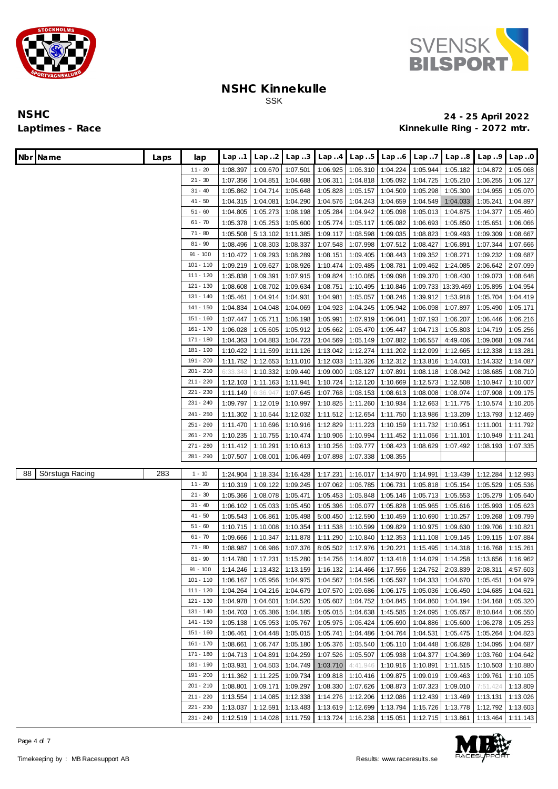



| Nbr Name              | Laps | lap                    | Lap1                 | Lap.2                | Lap.3                | Lap.4    | Lap.5                                  | Lap6     | Lap.7    | Lap.8                         | Lap.9                | Lap.0                |
|-----------------------|------|------------------------|----------------------|----------------------|----------------------|----------|----------------------------------------|----------|----------|-------------------------------|----------------------|----------------------|
|                       |      | $11 - 20$              | 1:08.397             | 1:09.670             | 1:07.501             | 1:06.925 | 1:06.310                               | 1:04.224 | 1:05.944 | 1:05.182                      | 1:04.872             | 1:05.068             |
|                       |      | $21 - 30$              | 1:07.356             | 1:04.851             | 1:04.688             | 1:06.311 | 1:04.818                               | 1:05.092 | 1:04.725 | 1:05.210                      | 1:06.255             | 1:06.127             |
|                       |      | $31 - 40$              | 1:05.862             | 1:04.714             | 1:05.648             | 1:05.828 | 1:05.157                               | 1:04.509 | 1:05.298 | 1:05.300                      | 1:04.955             | 1:05.070             |
|                       |      | $41 - 50$              | 1:04.315             | 1:04.081             | 1:04.290             | 1:04.576 | 1:04.243                               | 1:04.659 | 1:04.549 | 1:04.033                      | 1:05.241             | 1:04.897             |
|                       |      | $51 - 60$              | 1:04.805             | 1:05.273             | 1:08.198             | 1:05.284 | 1:04.942                               | 1:05.098 | 1:05.013 | 1:04.875                      | 1:04.377             | 1:05.460             |
|                       |      | $61 - 70$              | 1:05.378             | 1:05.253             | 1:05.600             | 1:05.774 | 1:05.117                               | 1:05.082 | 1:06.693 | 1:05.850                      | 1:05.651             | 1:06.066             |
|                       |      | $71 - 80$              | 1:05.508             | 5:13.102             | 1:11.385             | 1:09.117 | 1:08.598                               | 1:09.035 | 1:08.823 | 1:09.493                      | 1:09.309             | 1:08.667             |
|                       |      | $81 - 90$              | 1:08.496             | 1:08.303             | 1:08.337             | 1:07.548 | 1:07.998                               | 1:07.512 | 1:08.427 | 1:06.891                      | 1:07.344             | 1:07.666             |
|                       |      | $91 - 100$             | 1:10.472             | 1:09.293             | 1:08.289             | 1:08.151 | 1:09.405                               | 1:08.443 | 1:09.352 | 1:08.271                      | 1:09.232             | 1:09.687             |
|                       |      | $101 - 110$            | 1:09.219             | 1:09.627             | 1:08.926             | 1:10.474 | 1:09.485                               | 1:08.781 | 1:09.462 | 1:24.085                      | 2:06.642             | 2:07.099             |
|                       |      | 111 - 120              | 1:35.838             | 1:09.391             | 1:07.915             | 1:09.824 | 1:10.085                               | 1:09.098 | 1:09.370 | 1:08.430                      | 1:09.073             | 1:08.648             |
|                       |      | 121 - 130              | 1:08.608             | 1:08.702             | 1:09.634             | 1:08.751 | 1:10.495                               | 1:10.846 | 1:09.733 | 13:39.469                     | 1:05.895             | 1:04.954             |
|                       |      | 131 - 140              | 1:05.461             | 1:04.914             | 1:04.931             | 1:04.981 | 1:05.057                               | 1:08.246 | 1:39.912 | 1:53.918                      | 1:05.704             | 1:04.419             |
|                       |      | 141 - 150              | 1:04.834             | 1:04.048             | 1:04.069             | 1:04.923 | 1:04.245                               | 1:05.942 | 1:06.098 | 1:07.897                      | 1:05.490             | 1:05.171             |
|                       |      | 151 - 160              | 1:07.447             | 1:05.711             | 1:06.198             | 1:05.991 | 1:07.919                               | 1:06.041 | 1:07.193 | 1:06.207                      | 1:06.446             | 1:06.216             |
|                       |      | 161 - 170              | 1:06.028             | 1:05.605             | 1:05.912             | 1:05.662 | 1:05.470                               | 1:05.447 | 1:04.713 | 1:05.803                      | 1:04.719             | 1:05.256             |
|                       |      | 171 - 180              | 1:04.363             | 1:04.883             | 1:04.723             | 1:04.569 | 1:05.149                               | 1:07.882 | 1:06.557 | 4:49.406                      | 1:09.068             | 1:09.744             |
|                       |      | 181 - 190              | 1:10.422             | 1:11.599             | 1:11.126             | 1:13.042 | 1:12.274                               | 1:11.202 | 1:12.099 | 1:12.665                      | 1:12.338             | 1:13.281             |
|                       |      | 191 - 200              | 1:11.752             | 1:12.653             | 1:11.010             | 1:12.033 | 1:11.326                               | 1:12.312 | 1:13.816 | 1:14.031                      | 1:14.332             | 1:14.087             |
|                       |      | 201 - 210              | 6:33.343             | 1:10.332             | 1:09.440             | 1:09.000 | 1:08.127                               | 1:07.891 | 1:08.118 | 1:08.042                      | 1:08.685             | 1:08.710             |
|                       |      | 211 - 220              | 1:12.103             | 1:11.163             | 1:11.941             | 1:10.724 | 1:12.120                               | 1:10.669 | 1:12.573 | 1:12.508                      | 1:10.947             | 1:10.007             |
|                       |      | 221 - 230              | 1:11.149             | 6:36.947             | 1:07.645             | 1:07.768 | 1:08.153                               | 1:08.613 | 1:08.008 | 1:08.074                      | 1:07.908             | 1:09.175             |
|                       |      | 231 - 240              | 1:09.797             | 1:12.019             | 1:10.997             | 1:10.825 | 1:11.260                               | 1:10.934 | 1:12.663 | 1:11.775                      | 1:10.574             | 1:10.205             |
|                       |      | 241 - 250              | 1:11.302             | 1:10.544             | 1:12.032             | 1:11.512 | 1:12.654                               | 1:11.750 | 1:13.986 | 1:13.209                      | 1:13.793             | 1:12.469             |
|                       |      | 251 - 260              | 1:11.470             | 1:10.696             | 1:10.916             | 1:12.829 | 1:11.223                               | 1:10.159 | 1:11.732 | 1:10.951                      | 1:11.001             | 1:11.792             |
|                       |      | 261 - 270              | 1:10.235             | 1:10.755             | 1:10.474             | 1:10.906 | 1:10.994                               | 1:11.452 | 1:11.056 | 1:11.101                      | 1:10.949             | 1:11.241             |
|                       |      | 271 - 280              | 1:11.412             | 1:10.291             | 1:10.613             | 1:10.256 | 1:09.777                               | 1:08.423 | 1:08.629 | 1:07.492                      | 1:08.193             | 1:07.335             |
|                       |      | 281 - 290              | 1:07.507             | 1:08.001             | 1:06.469             | 1:07.898 | 1:07.338                               | 1:08.355 |          |                               |                      |                      |
| 88<br>Sörstuga Racing | 283  | $1 - 10$               | 1:24.904             | 1:18.334             | 1:16.428             | 1:17.231 | 1:16.017                               | 1:14.970 | 1:14.991 | 1:13.439                      | 1:12.284             | 1:12.993             |
|                       |      | $11 - 20$              | 1:10.319             | 1:09.122             | 1:09.245             | 1:07.062 | 1:06.785                               | 1:06.731 | 1:05.818 | 1:05.154                      | 1:05.529             | 1:05.536             |
|                       |      | $21 - 30$              | 1:05.366             | 1:08.078             | 1:05.471             | 1:05.453 | 1:05.848                               | 1:05.146 | 1:05.713 | 1:05.553                      | 1:05.279             | 1:05.640             |
|                       |      | $31 - 40$              | 1:06.102             | 1:05.033             | 1:05.450             | 1:05.396 | 1:06.077                               | 1:05.828 | 1:05.965 | 1:05.616                      | 1:05.993             | 1:05.623             |
|                       |      | $41 - 50$              | 1:05.543             | 1:06.861             | 1:05.498             | 5:00.450 | 1:12.590                               | 1:10.459 | 1:10.690 | 1:10.257                      | 1:09.268             | 1:09.799             |
|                       |      | $51 - 60$              | 1:10.715             | 1:10.008             | 1:10.354             | 1:11.538 | 1:10.599                               | 1:09.829 | 1:10.975 | 1:09.630                      | 1:09.706             | 1:10.821             |
|                       |      | $61 - 70$              | 1:09.666             | 1:10.347             | 1:11.878             | 1:11.290 | 1:10.840                               | 1:12.353 | 1:11.108 | 1:09.145                      | 1:09.115             | 1:07.884             |
|                       |      | $71 - 80$              | 1:08.987             | 1:06.986             | 1:07.376             | 8:05.502 | 1:17.976                               | 1:20.221 | 1:15.495 | 1:14.318                      | 1:16.768             | 1:15.261             |
|                       |      | $81 - 90$              | 1:14.780             | 1:17.231             | 1:15.280             | 1:14.756 | 1:14.807                               | 1:13.418 | 1:14.029 | 1:14.258                      | 1:13.656             | 1:16.962             |
|                       |      | $91 - 100$             | 1:14.246             | 1:13.432             | 1:13.159             |          | 1:16.132 1:14.466                      | 1:17.556 |          | 1:24.752 2:03.839             | 2:08.311 4:57.603    |                      |
|                       |      | 101 - 110              | 1:06.167             | 1:05.956             | 1:04.975             | 1:04.567 | 1:04.595                               | 1:05.597 | 1:04.333 | 1:04.670                      | 1:05.451             | 1:04.979             |
|                       |      | 111 - 120              | 1:04.264             | 1:04.216             | 1:04.679             | 1:07.570 | 1:09.686                               | 1:06.175 | 1:05.036 | 1:06.450                      | 1:04.685             | 1:04.621             |
|                       |      | 121 - 130              | 1:04.978             | 1:04.601             | 1:04.520             | 1:05.607 | 1:04.752                               | 1:04.845 | 1:04.860 | 1:04.194                      | 1:04.168             | 1:05.320             |
|                       |      | 131 - 140              | 1:04.703             | 1:05.386             | 1:04.185             | 1:05.015 | 1:04.638                               | 1:45.585 | 1:24.095 | 1:05.657                      | 8:10.844             | 1:06.550             |
|                       |      | 141 - 150              | 1:05.138             | 1:05.953             | 1:05.767             | 1:05.975 | 1:06.424                               | 1:05.690 | 1:04.886 | 1:05.600                      | 1:06.278             | 1:05.253             |
|                       |      | 151 - 160              | 1:06.461             | 1:04.448             | 1:05.015             | 1:05.741 | 1:04.486                               | 1:04.764 | 1:04.531 | 1:05.475                      | 1:05.264             | 1:04.823             |
|                       |      | 161 - 170              | 1:08.661             | 1:06.747             | 1:05.180             | 1:05.376 | 1:05.540                               | 1:05.110 | 1:04.448 | 1:06.828                      | 1:04.095             | 1:04.687             |
|                       |      | 171 - 180              | 1:04.713             | 1:04.891             | 1:04.259             | 1:07.526 | 1:05.507                               | 1:05.938 | 1:04.377 | 1:04.369                      | 1:03.760             | 1:04.642             |
|                       |      | 181 - 190<br>191 - 200 | 1:03.931             | 1:04.503             | 1:04.749             | 1:03.710 | 4:41.946                               | 1:10.916 | 1:10.891 | 1:11.515                      | 1:10.503             | 1:10.880             |
|                       |      | 201 - 210              | 1:11.362             | 1:11.225             | 1:09.734             | 1:09.818 | 1:10.416                               | 1:09.875 | 1:09.019 | 1:09.463                      | 1:09.761             | 1:10.105             |
|                       |      | 211 - 220              | 1:08.801             | 1:09.171             | 1:09.297             | 1:08.330 | 1:07.626                               | 1:08.873 | 1:07.323 | 1:09.010                      | 7:51.424             | 1:13.809             |
|                       |      | 221 - 230              | 1:13.554             | 1:14.085             | 1:12.338             | 1:14.276 | 1:12.206                               | 1:12.086 |          | 1:12.439 1:13.469             | 1:13.131             | 1:13.026             |
|                       |      | 231 - 240              | 1:13.037<br>1:12.519 | 1:12.591<br>1:14.028 | 1:13.483<br>1:11.759 | 1:13.619 | 1:12.699<br>1:13.724 1:16.238 1:15.051 | 1:13.794 | 1:15.726 | 1:13.778<br>1:12.715 1:13.861 | 1:12.792<br>1:13.464 | 1:13.603<br>1:11.143 |
|                       |      |                        |                      |                      |                      |          |                                        |          |          |                               |                      |                      |

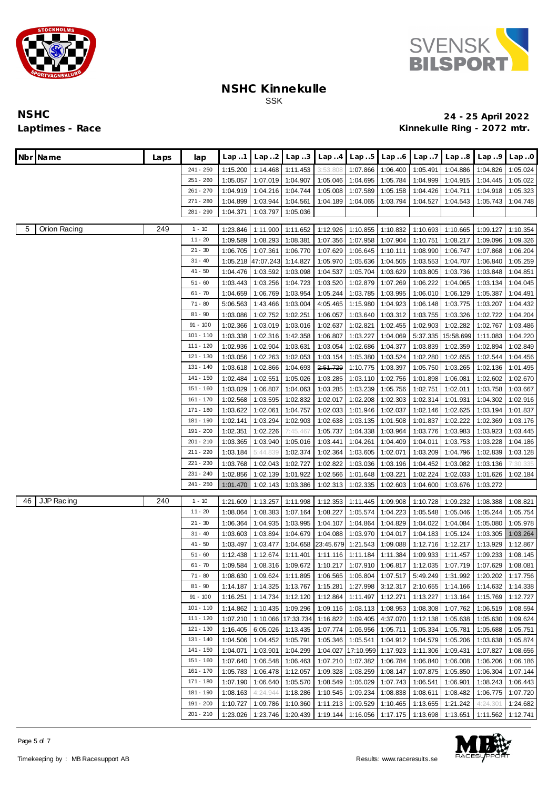



| Nbr Name          | Laps | lap         | Lap.1    | Lap.2             | Lap.3     | Lap.4     | Lap.5     | Lap 6                      | Lap 7    | Lap.8                      | Lap.9    | Lap.0    |
|-------------------|------|-------------|----------|-------------------|-----------|-----------|-----------|----------------------------|----------|----------------------------|----------|----------|
|                   |      | 241 - 250   | 1:15.200 | 1:14.468          | 1:11.453  | 3:53.808  | 1:07.866  | 1:06.400                   | 1:05.491 | 1:04.886                   | 1:04.826 | 1:05.024 |
|                   |      | 251 - 260   | 1:05.057 | 1:07.019          | 1:04.907  | 1:05.046  | 1:04.695  | 1:05.784                   | 1:04.999 | 1:04.915                   | 1:04.445 | 1:05.022 |
|                   |      | 261 - 270   | 1:04.919 | 1:04.216          | 1:04.744  | 1:05.008  | 1:07.589  | 1:05.158                   | 1:04.426 | 1:04.711                   | 1:04.918 | 1:05.323 |
|                   |      | 271 - 280   | 1:04.899 | 1:03.944          | 1:04.561  | 1:04.189  | 1:04.065  | 1:03.794                   | 1:04.527 | 1:04.543                   | 1:05.743 | 1:04.748 |
|                   |      | 281 - 290   | 1:04.371 | 1:03.797          | 1:05.036  |           |           |                            |          |                            |          |          |
|                   |      |             |          |                   |           |           |           |                            |          |                            |          |          |
| Orion Racing<br>5 | 249  | $1 - 10$    | 1:23.846 | 1:11.900          | 1:11.652  | 1:12.926  | 1:10.855  | 1:10.832                   | 1:10.693 | 1:10.665                   | 1:09.127 | 1:10.354 |
|                   |      | $11 - 20$   | 1:09.589 | 1:08.293          | 1:08.381  | 1:07.356  | 1:07.958  | 1:07.904                   | 1:10.751 | 1:08.217                   | 1:09.096 | 1:09.326 |
|                   |      | $21 - 30$   | 1:06.705 | 1:07.361          | 1:06.770  | 1:07.629  | 1:06.645  | 1:10.111                   | 1:08.990 | 1:06.747                   | 1:07.868 | 1:06.204 |
|                   |      | $31 - 40$   | 1:05.218 | 47:07.243         | 1:14.827  | 1:05.970  | 1:05.636  | 1:04.505                   | 1:03.553 | 1:04.707                   | 1:06.840 | 1:05.259 |
|                   |      | $41 - 50$   | 1:04.476 | 1:03.592          | 1:03.098  | 1:04.537  | 1:05.704  | 1:03.629                   | 1:03.805 | 1:03.736                   | 1:03.848 | 1:04.851 |
|                   |      | $51 - 60$   | 1:03.443 | 1:03.256          | 1:04.723  | 1:03.520  | 1:02.879  | 1:07.269                   | 1:06.222 | 1:04.065                   | 1:03.134 | 1:04.045 |
|                   |      | $61 - 70$   | 1:04.659 | 1:06.769          | 1:03.954  | 1:05.244  | 1:03.785  | 1:03.995                   | 1:06.010 | 1:06.129                   | 1:05.387 | 1:04.491 |
|                   |      | 71 - 80     | 5:06.563 | 1:43.466          | 1:03.004  | 4:05.465  | 1:15.980  | 1:04.923                   | 1:06.148 | 1:03.775                   | 1:03.207 | 1:04.432 |
|                   |      | $81 - 90$   | 1:03.086 | 1:02.752          | 1:02.251  | 1:06.057  | 1:03.640  | 1:03.312                   | 1:03.755 | 1:03.326                   | 1:02.722 | 1:04.204 |
|                   |      | $91 - 100$  | 1:02.366 | 1:03.019          | 1:03.016  | 1:02.637  | 1:02.821  | 1:02.455                   | 1:02.903 | 1:02.282                   | 1:02.767 | 1:03.486 |
|                   |      | $101 - 110$ | 1:03.338 | 1:02.316          | 1:42.358  | 1:06.807  | 1:03.227  | 1:04.069                   | 5:37.335 | 15:58.699                  | 1:11.083 | 1:04.220 |
|                   |      | $111 - 120$ | 1:02.936 | 1:02.904          | 1:03.631  | 1:03.054  | 1:02.686  | 1:04.377                   | 1:03.839 | 1:02.359                   | 1:02.894 | 1:02.849 |
|                   |      | 121 - 130   | 1:03.056 | 1:02.263          | 1:02.053  | 1:03.154  | 1:05.380  | 1:03.524                   | 1:02.280 | 1:02.655                   | 1:02.544 | 1:04.456 |
|                   |      | 131 - 140   | 1:03.618 | 1:02.866          | 1:04.693  | 2:51.729  | 1:10.775  | 1:03.397                   | 1:05.750 | 1:03.265                   | 1:02.136 | 1:01.495 |
|                   |      | 141 - 150   | 1:02.484 | 1:02.551          | 1:05.026  | 1:03.285  | 1:03.110  | 1:02.756                   | 1:01.898 | 1:06.081                   | 1:02.602 | 1:02.670 |
|                   |      | 151 - 160   | 1:03.029 | 1:06.807          | 1:04.063  | 1:03.285  | 1:03.239  | 1:05.756                   | 1:02.751 | 1:02.011                   | 1:03.758 | 1:03.667 |
|                   |      | 161 - 170   | 1:02.568 | 1:03.595          | 1:02.832  | 1:02.017  | 1:02.208  | 1:02.303                   | 1:02.314 | 1:01.931                   | 1:04.302 | 1:02.916 |
|                   |      | 171 - 180   | 1:03.622 | 1:02.061          | 1:04.757  | 1:02.033  | 1:01.946  | 1:02.037                   | 1:02.146 | 1:02.625                   | 1:03.194 | 1:01.837 |
|                   |      | 181 - 190   | 1:02.141 | 1:03.294          | 1:02.903  | 1:02.638  | 1:03.135  | 1:01.508                   | 1:01.837 | 1:02.222                   | 1:02.369 | 1:03.176 |
|                   |      | 191 - 200   | 1:02.351 | 1:02.226          | 7:45.467  | 1:05.737  | 1:04.338  | 1:03.964                   | 1:03.776 | 1:03.983                   | 1:03.923 | 1:03.445 |
|                   |      | $201 - 210$ | 1:03.365 | 1:03.940          | 1:05.016  | 1:03.441  | 1:04.261  | 1:04.409                   | 1:04.011 | 1:03.753                   | 1:03.228 | 1:04.186 |
|                   |      | 211 - 220   | 1:03.184 | 5:44.839          | 1:02.374  | 1:02.364  | 1:03.605  | 1:02.071                   | 1:03.209 | 1:04.796                   | 1:02.839 | 1:03.128 |
|                   |      | 221 - 230   | 1:03.768 | 1:02.043          | 1:02.727  | 1:02.822  | 1:03.036  | 1:03.196                   | 1:04.452 | 1:03.082                   | 1:03.136 | 7:30.335 |
|                   |      | 231 - 240   | 1:02.856 | 1:02.139          | 1:01.922  | 1:02.566  | 1:01.648  | 1:03.221                   | 1:02.224 | 1:02.033                   | 1:01.626 | 1:02.184 |
|                   |      | 241 - 250   | 1:01.470 | 1:02.143          | 1:03.386  | 1:02.313  | 1:02.335  | 1:02.603                   | 1:04.600 | 1:03.676                   | 1:03.272 |          |
|                   |      |             |          |                   |           |           |           |                            |          |                            |          |          |
| JJP Racing<br>46  | 240  | $1 - 10$    | 1:21.609 | 1:13.257          | 1:11.998  | 1:12.353  | 1:11.445  | 1:09.908                   | 1:10.728 | 1:09.232                   | 1:08.388 | 1:08.821 |
|                   |      | $11 - 20$   | 1:08.064 | 1:08.383          | 1:07.164  | 1:08.227  | 1:05.574  | 1:04.223                   | 1:05.548 | 1:05.046                   | 1:05.244 | 1:05.754 |
|                   |      | $21 - 30$   | 1:06.364 | 1:04.935          | 1:03.995  | 1:04.107  | 1:04.864  | 1:04.829                   | 1:04.022 | 1:04.084                   | 1:05.080 | 1:05.978 |
|                   |      | $31 - 40$   | 1:03.603 | 1:03.894          | 1:04.679  | 1:04.088  | 1:03.970  | 1:04.017                   | 1:04.183 | 1:05.124                   | 1:03.305 | 1:03.264 |
|                   |      | $41 - 50$   | 1:03.497 | 1:03.477          | 1:04.658  | 23:45.679 | 1:21.543  | 1:09.088                   | 1:12.716 | 1:12.217                   | 1:13.929 | 1:12.867 |
|                   |      | $51 - 60$   | 1:12.438 | 1:12.674          | 1:11.401  | 1:11.116  | 1:11.184  | 1:11.384                   | 1:09.933 | 1:11.457                   | 1:09.233 | 1:08.145 |
|                   |      | $61 - 70$   | 1:09.584 | 1:08.316 1:09.672 |           |           |           | 1:10.217 1:07.910 1:06.817 |          | 1:12.035 1:07.719 1:07.629 |          | 1:08.081 |
|                   |      | $71 - 80$   | 1:08.630 | 1:09.624          | 1:11.895  | 1:06.565  | 1:06.804  | 1:07.517                   | 5:49.249 | 1:31.992                   | 1:20.202 | 1:17.756 |
|                   |      | $81 - 90$   | 1:14.187 | 1:14.325          | 1:13.767  | 1:15.281  | 1:27.998  | 3:12.317                   | 2:10.655 | 1:14.166                   | 1:14.632 | 1:14.338 |
|                   |      | $91 - 100$  | 1:16.251 | 1:14.734          | 1:12.120  | 1:12.864  | 1:11.497  | 1:12.271                   | 1:13.227 | 1:13.164                   | 1:15.769 | 1:12.727 |
|                   |      | 101 - 110   | 1:14.862 | 1:10.435          | 1:09.296  | 1:09.116  | 1:08.113  | 1:08.953                   | 1:08.308 | 1:07.762                   | 1:06.519 | 1:08.594 |
|                   |      | 111 - 120   | 1:07.210 | 1:10.066          | 17:33.734 | 1:16.822  | 1:09.405  | 4:37.070                   | 1:12.138 | 1:05.638                   | 1:05.630 | 1:09.624 |
|                   |      | 121 - 130   | 1:16.405 | 6:05.026          | 1:13.435  | 1:07.774  | 1:06.956  | 1:05.711                   | 1:05.334 | 1:05.781                   | 1:05.688 | 1:05.751 |
|                   |      | 131 - 140   | 1:04.506 | 1:04.452          | 1:05.791  | 1:05.346  | 1:05.541  | 1:04.912                   | 1:04.579 | 1:05.206                   | 1:03.638 | 1:05.874 |
|                   |      | 141 - 150   | 1:04.071 | 1:03.901          | 1:04.299  | 1:04.027  | 17:10.959 | 1:17.923                   | 1:11.306 | 1:09.431                   | 1:07.827 | 1:08.656 |
|                   |      | 151 - 160   | 1:07.640 | 1:06.548          | 1:06.463  | 1:07.210  | 1:07.382  | 1:06.784                   | 1:06.840 | 1:06.008                   | 1:06.206 | 1:06.186 |
|                   |      | 161 - 170   | 1:05.783 | 1:06.478          | 1:12.057  | 1:09.328  | 1:08.259  | 1:08.147                   | 1:07.875 | 1:05.850                   | 1:06.304 | 1:07.144 |
|                   |      | 171 - 180   | 1:07.190 | 1:06.640          | 1:05.570  | 1:08.549  | 1:06.029  | 1:07.743                   | 1:06.541 | 1:06.901                   | 1:08.243 | 1:06.443 |
|                   |      | 181 - 190   | 1:08.163 | 4:24.944          | 1:18.286  | 1:10.545  | 1:09.234  | 1:08.838                   | 1:08.611 | 1:08.482                   | 1:06.775 | 1:07.720 |
|                   |      | 191 - 200   | 1:10.727 | 1:09.786          | 1:10.360  | 1:11.213  | 1:09.529  | 1:10.465                   | 1:13.655 | 1:21.242                   | 4:24.30' | 1:24.682 |
|                   |      | 201 - 210   | 1:23.026 | 1:23.746          | 1:20.439  | 1:19.144  | 1:16.056  | 1:17.175                   | 1:13.698 | 1:13.651                   | 1:11.562 | 1:12.741 |

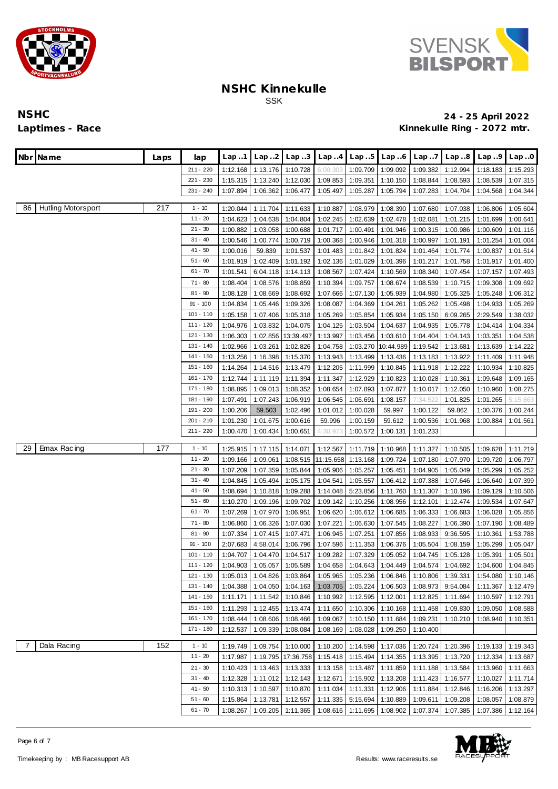



| Nbr Name                        | Laps | lap         | Lap.1    | Lap.2                      | Lap.3     | Lap4      | Lap.5    | Lap.6                      | Lap7     | Lap.8                      | Lap.9    | Lap.0    |
|---------------------------------|------|-------------|----------|----------------------------|-----------|-----------|----------|----------------------------|----------|----------------------------|----------|----------|
|                                 |      | 211 - 220   | 1:12.168 | 1:13.176                   | 1:10.728  | 6:00.303  | 1:09.709 | 1:09.092                   | 1:09.382 | 1:12.994                   | 1:18.183 | 1:15.293 |
|                                 |      | 221 - 230   | 1:15.315 | 1:13.240                   | 1:12.030  | 1:09.853  | 1:09.351 | 1:10.150                   | 1:08.844 | 1:08.593                   | 1:08.539 | 1:07.315 |
|                                 |      | 231 - 240   | 1:07.894 | 1:06.362                   | 1:06.477  | 1:05.497  | 1:05.287 | 1:05.794                   | 1:07.283 | 1:04.704                   | 1:04.568 | 1:04.344 |
| 86<br><b>Hutling Motorsport</b> | 217  | $1 - 10$    | 1:20.044 | 1:11.704                   | 1:11.633  | 1:10.887  | 1:08.979 | 1:08.390                   | 1:07.680 | 1:07.038                   | 1:06.806 | 1:05.604 |
|                                 |      | $11 - 20$   | 1:04.623 | 1:04.638                   | 1:04.804  | 1:02.245  | 1:02.639 | 1:02.478                   | 1:02.081 | 1:01.215                   | 1:01.699 | 1:00.641 |
|                                 |      | $21 - 30$   | 1:00.882 | 1:03.058                   | 1:00.688  | 1:01.717  | 1:00.491 | 1:01.946                   | 1:00.315 | 1:00.986                   | 1:00.609 | 1:01.116 |
|                                 |      | $31 - 40$   | 1:00.546 | 1:00.774                   | 1:00.719  | 1:00.368  | 1:00.946 | 1:01.318                   | 1:00.997 | 1:01.191                   | 1:01.254 | 1:01.004 |
|                                 |      | $41 - 50$   | 1:00.016 | 59.839                     | 1:01.537  | 1:01.483  | 1:01.842 | 1:01.824                   | 1:01.464 | 1:01.774                   | 1:00.837 | 1:01.514 |
|                                 |      | $51 - 60$   | 1:01.919 | 1:02.409                   | 1:01.192  | 1:02.136  | 1:01.029 | 1:01.396                   | 1:01.217 | 1:01.758                   | 1:01.917 | 1:01.400 |
|                                 |      | $61 - 70$   | 1:01.541 | 6:04.118                   | 1:14.113  | 1:08.567  | 1:07.424 | 1:10.569                   | 1:08.340 | 1:07.454                   | 1:07.157 | 1:07.493 |
|                                 |      | $71 - 80$   | 1:08.404 | 1:08.576                   | 1:08.859  | 1:10.394  | 1:09.757 | 1:08.674                   | 1:08.539 | 1:10.715                   | 1:09.308 | 1:09.692 |
|                                 |      | $81 - 90$   | 1:08.128 | 1:08.669                   | 1:08.692  | 1:07.666  | 1:07.130 | 1:05.939                   | 1:04.980 | 1:05.325                   | 1:05.248 | 1:06.312 |
|                                 |      | $91 - 100$  | 1:04.834 | 1:05.446                   | 1:09.326  | 1:08.087  | 1:04.369 | 1:04.261                   | 1:05.262 | 1:05.498                   | 1:04.933 | 1:05.269 |
|                                 |      | $101 - 110$ | 1:05.158 | 1:07.406                   | 1:05.318  | 1:05.269  | 1:05.854 | 1:05.934                   | 1:05.150 | 6:09.265                   | 2:29.549 | 1:38.032 |
|                                 |      | 111 - 120   | 1:04.976 | 1:03.832                   | 1:04.075  | 1:04.125  | 1:03.504 | 1:04.637                   | 1:04.935 | 1:05.778                   | 1:04.414 | 1:04.334 |
|                                 |      | 121 - 130   | 1:06.303 | 1:02.856                   | 13:39.497 | 1:13.997  | 1:03.456 | 1:03.610                   | 1:04.404 | 1:04.143                   | 1:03.351 | 1:04.538 |
|                                 |      | 131 - 140   | 1:02.966 | 1:03.261                   | 1:02.826  | 1:04.758  | 1:03.270 | 10:44.989                  | 1:19.542 | 1:13.681                   | 1:13.639 | 1:14.222 |
|                                 |      | 141 - 150   | 1:13.256 | 1:16.398                   | 1:15.370  | 1:13.943  | 1:13.499 | 1:13.436                   | 1:13.183 | 1:13.922                   | 1:11.409 | 1:11.948 |
|                                 |      | 151 - 160   | 1:14.264 | 1:14.516                   | 1:13.479  | 1:12.205  | 1:11.999 | 1:10.845                   | 1:11.918 | 1:12.222                   | 1:10.934 | 1:10.825 |
|                                 |      | 161 - 170   | 1:12.744 | 1:11.119                   | 1:11.394  | 1:11.347  | 1:12.929 | 1:10.823                   | 1:10.028 | 1:10.361                   | 1:09.648 | 1:09.165 |
|                                 |      | 171 - 180   | 1:08.895 | 1:09.013                   | 1:08.352  | 1:08.654  | 1:07.893 | 1:07.877                   | 1:10.017 | 1:12.050                   | 1:10.960 | 1:08.275 |
|                                 |      | 181 - 190   | 1:07.491 | 1:07.243                   | 1:06.919  | 1:06.545  | 1:06.691 | 1:08.157                   | 7:34.52  | 1:01.825                   | 1:01.265 | 5:15.863 |
|                                 |      | 191 - 200   | 1:00.206 | 59.503                     | 1:02.496  | 1:01.012  | 1:00.028 | 59.997                     | 1:00.122 | 59.862                     | 1:00.376 | 1:00.244 |
|                                 |      | 201 - 210   | 1:01.230 | 1:01.675                   | 1:00.616  | 59.996    | 1:00.159 | 59.612                     | 1:00.536 | 1:01.968                   | 1:00.884 | 1:01.561 |
|                                 |      | 211 - 220   | 1:00.470 | 1:00.434                   | 1:00.651  | 4:30.973  | 1:00.572 | 1:00.131                   | 1:01.233 |                            |          |          |
| 29<br>Emax Racing               | 177  | $1 - 10$    | 1:25.915 | 1:17.115                   | 1:14.071  | 1:12.567  | 1:11.719 | 1:10.968                   | 1:11.327 | 1:10.505                   | 1:09.628 | 1:11.219 |
|                                 |      | $11 - 20$   | 1:09.166 | 1:09.061                   | 1:08.515  | 11:15.658 | 1:13.168 | 1:09.724                   | 1:07.180 | 1:07.970                   | 1:09.720 | 1:06.797 |
|                                 |      | $21 - 30$   | 1:07.209 | 1:07.359                   | 1:05.844  | 1:05.906  | 1:05.257 | 1:05.451                   | 1:04.905 | 1:05.049                   | 1:05.299 | 1:05.252 |
|                                 |      | $31 - 40$   | 1:04.845 | 1:05.494                   | 1:05.175  | 1:04.541  | 1:05.557 | 1:06.412                   | 1:07.388 | 1:07.646                   | 1:06.640 | 1:07.399 |
|                                 |      | $41 - 50$   | 1:08.694 | 1:10.818                   | 1:09.288  | 1:14.048  | 5:23.856 | 1:11.760                   | 1:11.307 | 1:10.196                   | 1:09.129 | 1:10.506 |
|                                 |      | $51 - 60$   | 1:10.270 | 1:09.196                   | 1:09.702  | 1:09.142  | 1:10.256 | 1:08.956                   | 1:12.101 | 1:12.474                   | 1:09.534 | 1:07.647 |
|                                 |      | $61 - 70$   | 1:07.269 | 1:07.970                   | 1:06.951  | 1:06.620  | 1:06.612 | 1:06.685                   | 1:06.333 | 1:06.683                   | 1:06.028 | 1:05.856 |
|                                 |      | $71 - 80$   | 1:06.860 | 1:06.326                   | 1:07.030  | 1:07.221  | 1:06.630 | 1:07.545                   | 1:08.227 | 1:06.390                   | 1:07.190 | 1:08.489 |
|                                 |      | $81 - 90$   | 1:07.334 | 1:07.415                   | 1:07.471  | 1:06.945  | 1:07.251 | 1:07.856                   | 1:08.933 | 9:36.595                   | 1:10.361 | 1:53.788 |
|                                 |      | $91 - 100$  | 2:07.683 | 4:58.014                   | 1:06.796  | 1:07.596  | 1:11.353 | 1:06.376                   | 1:05.504 | 1:08.159                   | 1:05.299 | 1:05.047 |
|                                 |      | $101 - 110$ | 1:04.707 | 1:04.470                   | 1:04.517  | 1:09.282  | 1:07.329 | 1:05.052                   | 1:04.745 | 1:05.128                   | 1:05.391 | 1:05.501 |
|                                 |      | 111 - 120   |          | 1:04.903 1:05.057 1:05.589 |           |           |          | 1:04.658 1:04.643 1:04.449 | 1:04.574 | 1:04.692                   | 1:04.600 | 1:04.845 |
|                                 |      | 121 - 130   | 1:05.013 | 1:04.826                   | 1:03.864  | 1:05.965  | 1:05.236 | 1:06.846                   | 1:10.806 | 1:39.331                   | 1:54.080 | 1:10.146 |
|                                 |      | 131 - 140   | 1:04.388 | 1:04.050                   | 1:04.163  | 1:03.705  | 1:05.224 | 1:06.503                   | 1:08.973 | 9:54.084                   | 1:11.367 | 1:12.479 |
|                                 |      | 141 - 150   | 1:11.171 | 1:11.542                   | 1:10.846  | 1:10.992  | 1:12.595 | 1:12.001                   | 1:12.825 | 1:11.694                   | 1:10.597 | 1:12.791 |
|                                 |      | 151 - 160   | 1:11.293 | 1:12.455                   | 1:13.474  | 1:11.650  | 1:10.306 | 1:10.168                   | 1:11.458 | 1:09.830                   | 1:09.050 | 1:08.588 |
|                                 |      | 161 - 170   | 1:08.444 | 1:08.606                   | 1:08.466  | 1:09.067  | 1:10.150 | 1:11.684                   | 1:09.231 | 1:10.210                   | 1:08.940 | 1:10.351 |
|                                 |      | 171 - 180   | 1:12.537 | 1:09.339                   | 1:08.084  | 1:08.169  | 1:08.028 | 1:09.250                   | 1:10.400 |                            |          |          |
| Dala Racing<br>7                | 152  | $1 - 10$    | 1:19.749 | 1:09.754                   | 1:10.000  | 1:10.200  | 1:14.598 | 1:17.036                   | 1:20.724 | 1:20.396                   | 1:19.133 | 1:19.343 |
|                                 |      | $11 - 20$   | 1:17.987 | 1:19.795                   | 17:36.758 | 1:15.418  | 1:15.494 | 1:14.355                   | 1:13.395 | 1:13.720                   | 1:12.334 | 1:13.687 |
|                                 |      | $21 - 30$   | 1:10.423 | 1:13.463                   | 1:13.333  | 1:13.158  | 1:13.487 | 1:11.859                   | 1:11.188 | 1:13.584                   | 1:13.960 | 1:11.663 |
|                                 |      | $31 - 40$   | 1:12.328 | 1:11.012                   | 1:12.143  | 1:12.671  | 1:15.902 | 1:13.208                   | 1:11.423 | 1:16.577                   | 1:10.027 | 1:11.714 |
|                                 |      | $41 - 50$   | 1:10.313 | 1:10.597                   | 1:10.870  | 1:11.034  | 1:11.331 | 1:12.906                   | 1:11.884 | 1:12.846                   | 1:16.206 | 1:13.297 |
|                                 |      | $51 - 60$   | 1:15.864 | 1:13.781                   | 1:12.557  | 1:11.335  | 5:15.694 | 1:10.889                   | 1:09.611 | 1:09.208                   | 1:08.057 | 1:08.879 |
|                                 |      | $61 - 70$   |          | 1:08.267 1:09.205          | 1:11.365  |           |          | 1:08.616 1:11.695 1:08.902 |          | 1:07.374 1:07.385 1:07.386 |          | 1:12.164 |